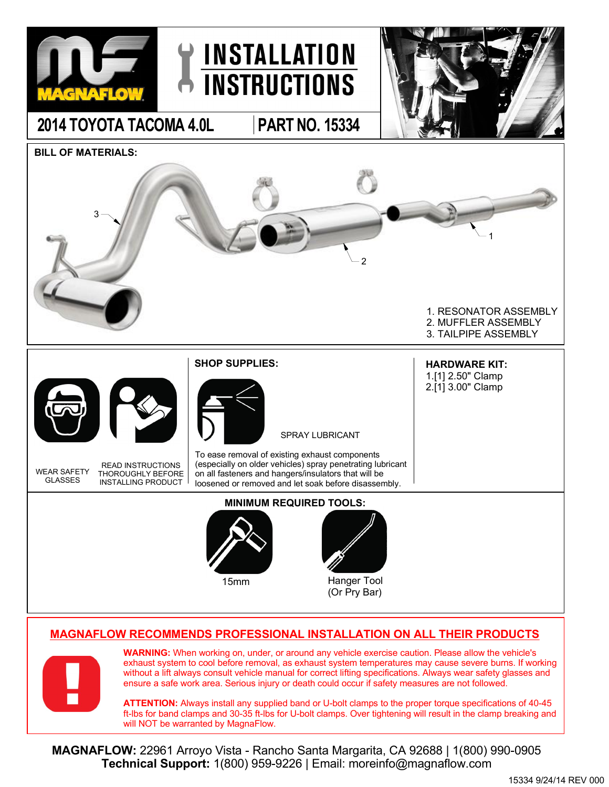



**2014 TOYOTA TACOMA 4.0L PART NO. 15334**



**BILL OF MATERIALS:**



## **MAGNAFLOW RECOMMENDS PROFESSIONAL INSTALLATION ON ALL THEIR PRODUCTS**



**WARNING:** When working on, under, or around any vehicle exercise caution. Please allow the vehicle's exhaust system to cool before removal, as exhaust system temperatures may cause severe burns. If working without a lift always consult vehicle manual for correct lifting specifications. Always wear safety glasses and ensure a safe work area. Serious injury or death could occur if safety measures are not followed.

**ATTENTION:** Always install any supplied band or U-bolt clamps to the proper torque specifications of 40-45 ft-lbs for band clamps and 30-35 ft-lbs for U-bolt clamps. Over tightening will result in the clamp breaking and will NOT be warranted by MagnaFlow.

**MAGNAFLOW:** 22961 Arroyo Vista - Rancho Santa Margarita, CA 92688 | 1(800) 990-0905 **Technical Support:** 1(800) 959-9226 | Email: moreinfo@magnaflow.com